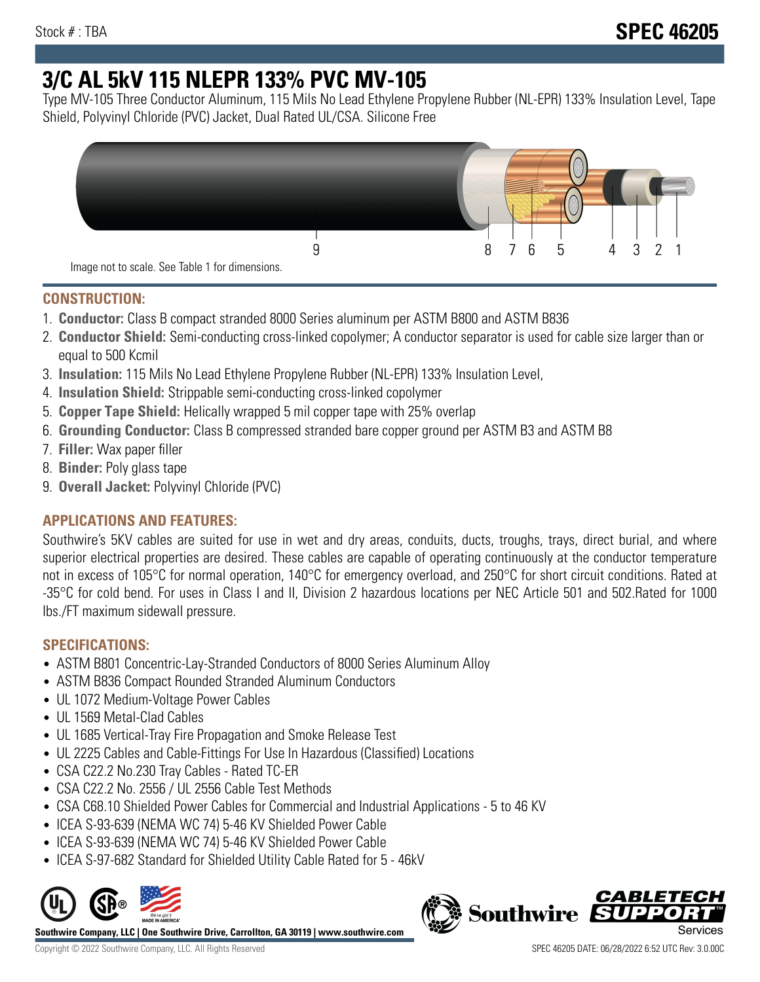# **3/C AL 5kV 115 NLEPR 133% PVC MV-105**

Type MV-105 Three Conductor Aluminum, 115 Mils No Lead Ethylene Propylene Rubber (NL-EPR) 133% Insulation Level, Tape Shield, Polyvinyl Chloride (PVC) Jacket, Dual Rated UL/CSA. Silicone Free



## **CONSTRUCTION:**

- 1. **Conductor:** Class B compact stranded 8000 Series aluminum per ASTM B800 and ASTM B836
- 2. **Conductor Shield:** Semi-conducting cross-linked copolymer; A conductor separator is used for cable size larger than or equal to 500 Kcmil
- 3. **Insulation:** 115 Mils No Lead Ethylene Propylene Rubber (NL-EPR) 133% Insulation Level,
- 4. **Insulation Shield:** Strippable semi-conducting cross-linked copolymer
- 5. **Copper Tape Shield:** Helically wrapped 5 mil copper tape with 25% overlap
- 6. **Grounding Conductor:** Class B compressed stranded bare copper ground per ASTM B3 and ASTM B8
- 7. **Filler:** Wax paper filler
- 8. **Binder:** Poly glass tape
- 9. **Overall Jacket:** Polyvinyl Chloride (PVC)

# **APPLICATIONS AND FEATURES:**

Southwire's 5KV cables are suited for use in wet and dry areas, conduits, ducts, troughs, trays, direct burial, and where superior electrical properties are desired. These cables are capable of operating continuously at the conductor temperature not in excess of 105°C for normal operation, 140°C for emergency overload, and 250°C for short circuit conditions. Rated at -35°C for cold bend. For uses in Class I and II, Division 2 hazardous locations per NEC Article 501 and 502.Rated for 1000 lbs./FT maximum sidewall pressure.

# **SPECIFICATIONS:**

- ASTM B801 Concentric-Lay-Stranded Conductors of 8000 Series Aluminum Alloy
- ASTM B836 Compact Rounded Stranded Aluminum Conductors
- UL 1072 Medium-Voltage Power Cables
- UL 1569 Metal-Clad Cables
- UL 1685 Vertical-Tray Fire Propagation and Smoke Release Test
- UL 2225 Cables and Cable-Fittings For Use In Hazardous (Classified) Locations
- CSA C22.2 No.230 Tray Cables Rated TC-ER
- CSA C22.2 No. 2556 / UL 2556 Cable Test Methods
- CSA C68.10 Shielded Power Cables for Commercial and Industrial Applications 5 to 46 KV
- ICEA S-93-639 (NEMA WC 74) 5-46 KV Shielded Power Cable
- ICEA S-93-639 (NEMA WC 74) 5-46 KV Shielded Power Cable
- ICEA S-97-682 Standard for Shielded Utility Cable Rated for 5 46kV



**Southwire Company, LLC | One Southwire Drive, Carrollton, GA 30119 | www.southwire.com**